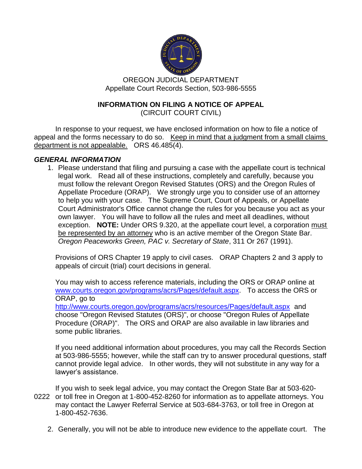

OREGON JUDICIAL DEPARTMENT Appellate Court Records Section, 503-986-5555

# **INFORMATION ON FILING A NOTICE OF APPEAL**

(CIRCUIT COURT CIVIL)

In response to your request, we have enclosed information on how to file a notice of appeal and the forms necessary to do so. Keep in mind that a judgment from a small claims department is not appealable. ORS 46.485(4).

# *GENERAL INFORMATION*

1. Please understand that filing and pursuing a case with the appellate court is technical legal work. Read all of these instructions, completely and carefully, because you must follow the relevant Oregon Revised Statutes (ORS) and the Oregon Rules of Appellate Procedure (ORAP). We strongly urge you to consider use of an attorney to help you with your case. The Supreme Court, Court of Appeals, or Appellate Court Administrator's Office cannot change the rules for you because you act as your own lawyer. You will have to follow all the rules and meet all deadlines, without exception. **NOTE:** Under ORS 9.320, at the appellate court level, a corporation must be represented by an attorney who is an active member of the Oregon State Bar. *Oregon Peaceworks Green, PAC v. Secretary of State*, 311 Or 267 (1991).

Provisions of ORS Chapter 19 apply to civil cases. ORAP Chapters 2 and 3 apply to appeals of circuit (trial) court decisions in general.

You may wish to access reference materials, including the ORS or ORAP online at [www.courts.oregon.gov/programs/acrs/Pages/default.aspx.](http://www.courts.oregon.gov/programs/acrs/Pages/default.aspx) To access the ORS or ORAP, go to <http://www.courts.oregon.gov/programs/acrs/resources/Pages/default.aspx> and choose "Oregon Revised Statutes (ORS)", or choose "Oregon Rules of Appellate Procedure (ORAP)". The ORS and ORAP are also available in law libraries and some public libraries.

If you need additional information about procedures, you may call the Records Section at 503-986-5555; however, while the staff can try to answer procedural questions, staff cannot provide legal advice. In other words, they will not substitute in any way for a lawyer's assistance.

If you wish to seek legal advice, you may contact the Oregon State Bar at 503-620- 0222 or toll free in Oregon at 1-800-452-8260 for information as to appellate attorneys. You may contact the Lawyer Referral Service at 503-684-3763, or toll free in Oregon at 1-800-452-7636.

2. Generally, you will not be able to introduce new evidence to the appellate court. The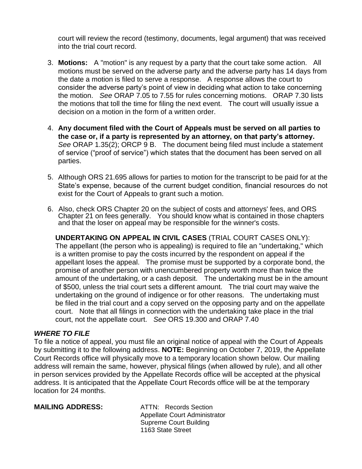court will review the record (testimony, documents, legal argument) that was received into the trial court record.

- 3. **Motions:** A "motion" is any request by a party that the court take some action. All motions must be served on the adverse party and the adverse party has 14 days from the date a motion is filed to serve a response. A response allows the court to consider the adverse party's point of view in deciding what action to take concerning the motion. *See* ORAP 7.05 to 7.55 for rules concerning motions. ORAP 7.30 lists the motions that toll the time for filing the next event. The court will usually issue a decision on a motion in the form of a written order.
- 4. **Any document filed with the Court of Appeals must be served on all parties to the case or, if a party is represented by an attorney, on that party's attorney.** *See* ORAP 1.35(2); ORCP 9 B. The document being filed must include a statement of service ("proof of service") which states that the document has been served on all parties.
- 5. Although ORS 21.695 allows for parties to motion for the transcript to be paid for at the State's expense, because of the current budget condition, financial resources do not exist for the Court of Appeals to grant such a motion.
- 6. Also, check ORS Chapter 20 on the subject of costs and attorneys' fees, and ORS Chapter 21 on fees generally. You should know what is contained in those chapters and that the loser on appeal may be responsible for the winner's costs.

**UNDERTAKING ON APPEAL IN CIVIL CASES** (TRIAL COURT CASES ONLY): The appellant (the person who is appealing) is required to file an "undertaking," which is a written promise to pay the costs incurred by the respondent on appeal if the appellant loses the appeal. The promise must be supported by a corporate bond, the promise of another person with unencumbered property worth more than twice the amount of the undertaking, or a cash deposit. The undertaking must be in the amount of \$500, unless the trial court sets a different amount. The trial court may waive the undertaking on the ground of indigence or for other reasons. The undertaking must be filed in the trial court and a copy served on the opposing party and on the appellate court. Note that all filings in connection with the undertaking take place in the trial court, not the appellate court. *See* ORS 19.300 and ORAP 7.40

### *WHERE TO FILE*

To file a notice of appeal, you must file an original notice of appeal with the Court of Appeals by submitting it to the following address. **NOTE:** Beginning on October 7, 2019, the Appellate Court Records office will physically move to a temporary location shown below. Our mailing address will remain the same, however, physical filings (when allowed by rule), and all other in person services provided by the Appellate Records office will be accepted at the physical address. It is anticipated that the Appellate Court Records office will be at the temporary location for 24 months.

### **MAILING ADDRESS:** ATTN: Records Section

Appellate Court Administrator Supreme Court Building 1163 State Street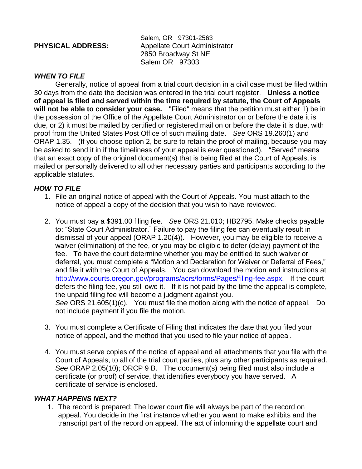|  | <b>PHYSICAL ADDRESS:</b> |
|--|--------------------------|
|--|--------------------------|

Salem, OR 97301-2563 **Appellate Court Administrator** 2850 Broadway St NE Salem OR 97303

# *WHEN TO FILE*

Generally, notice of appeal from a trial court decision in a civil case must be filed within 30 days from the date the decision was entered in the trial court register. **Unless a notice of appeal is filed and served within the time required by statute, the Court of Appeals will not be able to consider your case.** "Filed" means that the petition must either 1) be in the possession of the Office of the Appellate Court Administrator on or before the date it is due, or 2) it must be mailed by certified or registered mail on or before the date it is due, with proof from the United States Post Office of such mailing date. *See* ORS 19.260(1) and ORAP 1.35. (If you choose option 2, be sure to retain the proof of mailing, because you may be asked to send it in if the timeliness of your appeal is ever questioned). "Served" means that an exact copy of the original document(s) that is being filed at the Court of Appeals, is mailed or personally delivered to all other necessary parties and participants according to the applicable statutes.

# *HOW TO FILE*

- 1. File an original notice of appeal with the Court of Appeals. You must attach to the notice of appeal a copy of the decision that you wish to have reviewed.
- 2. You must pay a \$391.00 filing fee. *See* ORS 21.010; HB2795. Make checks payable to: "State Court Administrator." Failure to pay the filing fee can eventually result in dismissal of your appeal (ORAP 1.20(4)). However, you may be eligible to receive a waiver (elimination) of the fee, or you may be eligible to defer (delay) payment of the fee. To have the court determine whether you may be entitled to such waiver or deferral, you must complete a "Motion and Declaration for Waiver or Deferral of Fees," and file it with the Court of Appeals. You can download the motion and instructions at [http://www.courts.oregon.gov/programs/acrs/forms/Pages/filing-fee.aspx.](http://www.courts.oregon.gov/programs/acrs/forms/Pages/filing-fee.aspx) If the court defers the filing fee, you still owe it. If it is not paid by the time the appeal is complete, the unpaid filing fee will become a judgment against you. *See* ORS 21.605(1)(c). You must file the motion along with the notice of appeal. Do not include payment if you file the motion.
- 3. You must complete a Certificate of Filing that indicates the date that you filed your notice of appeal, and the method that you used to file your notice of appeal.
- 4. You must serve copies of the notice of appeal and all attachments that you file with the Court of Appeals, to all of the trial court parties, plus any other participants as required. *See* ORAP 2.05(10); ORCP 9 B. The document(s) being filed must also include a certificate (or proof) of service, that identifies everybody you have served. A certificate of service is enclosed.

### *WHAT HAPPENS NEXT?*

1. The record is prepared: The lower court file will always be part of the record on appeal. You decide in the first instance whether you want to make exhibits and the transcript part of the record on appeal. The act of informing the appellate court and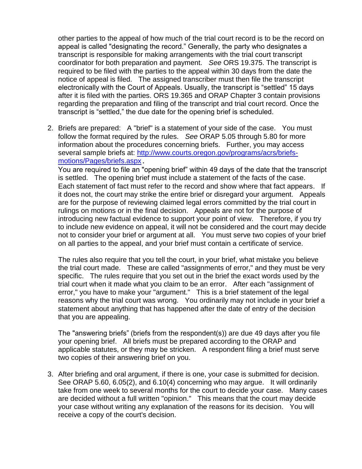other parties to the appeal of how much of the trial court record is to be the record on appeal is called "designating the record." Generally, the party who designates a transcript is responsible for making arrangements with the trial court transcript coordinator for both preparation and payment. *See* ORS 19.375. The transcript is required to be filed with the parties to the appeal within 30 days from the date the notice of appeal is filed. The assigned transcriber must then file the transcript electronically with the Court of Appeals. Usually, the transcript is "settled" 15 days after it is filed with the parties. ORS 19.365 and ORAP Chapter 3 contain provisions regarding the preparation and filing of the transcript and trial court record. Once the transcript is "settled," the due date for the opening brief is scheduled.

2. Briefs are prepared: A "brief" is a statement of your side of the case. You must follow the format required by the rules. *See* ORAP 5.05 through 5.80 for more information about the procedures concerning briefs. Further, you may access several sample briefs at: [http://www.courts.oregon.gov/programs/acrs/briefs](http://www.courts.oregon.gov/programs/acrs/briefs-motions/Pages/briefs.aspx)[motions/Pages/briefs.aspx](http://www.courts.oregon.gov/programs/acrs/briefs-motions/Pages/briefs.aspx).

You are required to file an "opening brief" within 49 days of the date that the transcript is settled. The opening brief must include a statement of the facts of the case. Each statement of fact must refer to the record and show where that fact appears. If it does not, the court may strike the entire brief or disregard your argument. Appeals are for the purpose of reviewing claimed legal errors committed by the trial court in rulings on motions or in the final decision. Appeals are not for the purpose of introducing new factual evidence to support your point of view. Therefore, if you try to include new evidence on appeal, it will not be considered and the court may decide not to consider your brief or argument at all. You must serve two copies of your brief on all parties to the appeal, and your brief must contain a certificate of service.

The rules also require that you tell the court, in your brief, what mistake you believe the trial court made. These are called "assignments of error," and they must be very specific. The rules require that you set out in the brief the exact words used by the trial court when it made what you claim to be an error. After each "assignment of error," you have to make your "argument." This is a brief statement of the legal reasons why the trial court was wrong. You ordinarily may not include in your brief a statement about anything that has happened after the date of entry of the decision that you are appealing.

The "answering briefs" (briefs from the respondent(s)) are due 49 days after you file your opening brief. All briefs must be prepared according to the ORAP and applicable statutes, or they may be stricken. A respondent filing a brief must serve two copies of their answering brief on you.

3. After briefing and oral argument, if there is one, your case is submitted for decision. See ORAP 5.60, 6.05(2), and 6.10(4) concerning who may argue. It will ordinarily take from one week to several months for the court to decide your case. Many cases are decided without a full written "opinion." This means that the court may decide your case without writing any explanation of the reasons for its decision. You will receive a copy of the court's decision.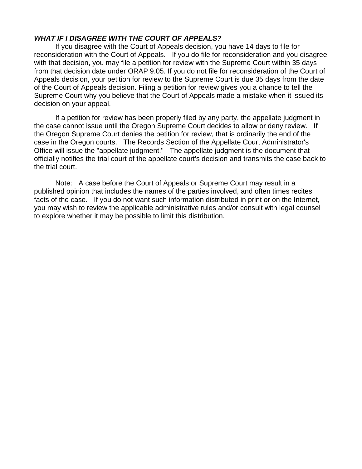### *WHAT IF I DISAGREE WITH THE COURT OF APPEALS?*

If you disagree with the Court of Appeals decision, you have 14 days to file for reconsideration with the Court of Appeals. If you do file for reconsideration and you disagree with that decision, you may file a petition for review with the Supreme Court within 35 days from that decision date under ORAP 9.05. If you do not file for reconsideration of the Court of Appeals decision, your petition for review to the Supreme Court is due 35 days from the date of the Court of Appeals decision. Filing a petition for review gives you a chance to tell the Supreme Court why you believe that the Court of Appeals made a mistake when it issued its decision on your appeal.

If a petition for review has been properly filed by any party, the appellate judgment in the case cannot issue until the Oregon Supreme Court decides to allow or deny review. If the Oregon Supreme Court denies the petition for review, that is ordinarily the end of the case in the Oregon courts. The Records Section of the Appellate Court Administrator's Office will issue the "appellate judgment." The appellate judgment is the document that officially notifies the trial court of the appellate court's decision and transmits the case back to the trial court.

Note: A case before the Court of Appeals or Supreme Court may result in a published opinion that includes the names of the parties involved, and often times recites facts of the case. If you do not want such information distributed in print or on the Internet, you may wish to review the applicable administrative rules and/or consult with legal counsel to explore whether it may be possible to limit this distribution.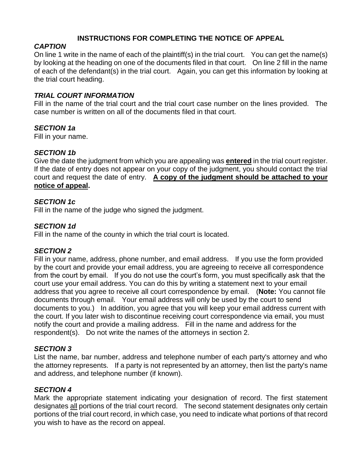# **INSTRUCTIONS FOR COMPLETING THE NOTICE OF APPEAL**

# *CAPTION*

On line 1 write in the name of each of the plaintiff(s) in the trial court. You can get the name(s) by looking at the heading on one of the documents filed in that court. On line 2 fill in the name of each of the defendant(s) in the trial court. Again, you can get this information by looking at the trial court heading.

# *TRIAL COURT INFORMATION*

Fill in the name of the trial court and the trial court case number on the lines provided. The case number is written on all of the documents filed in that court.

# *SECTION 1a*

Fill in your name.

# *SECTION 1b*

Give the date the judgment from which you are appealing was **entered** in the trial court register. If the date of entry does not appear on your copy of the judgment, you should contact the trial court and request the date of entry. **A copy of the judgment should be attached to your notice of appeal.**

# *SECTION 1c*

Fill in the name of the judge who signed the judgment.

# *SECTION 1d*

Fill in the name of the county in which the trial court is located.

### *SECTION 2*

Fill in your name, address, phone number, and email address. If you use the form provided by the court and provide your email address, you are agreeing to receive all correspondence from the court by email. If you do not use the court's form, you must specifically ask that the court use your email address. You can do this by writing a statement next to your email address that you agree to receive all court correspondence by email. (**Note:** You cannot file documents through email. Your email address will only be used by the court to send documents to you.) In addition, you agree that you will keep your email address current with the court. If you later wish to discontinue receiving court correspondence via email, you must notify the court and provide a mailing address. Fill in the name and address for the respondent(s). Do not write the names of the attorneys in section 2.

### *SECTION 3*

List the name, bar number, address and telephone number of each party's attorney and who the attorney represents. If a party is not represented by an attorney, then list the party's name and address, and telephone number (if known).

### *SECTION 4*

Mark the appropriate statement indicating your designation of record. The first statement designates all portions of the trial court record. The second statement designates only certain portions of the trial court record, in which case, you need to indicate what portions of that record you wish to have as the record on appeal.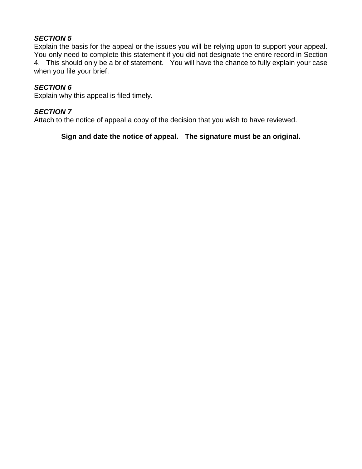# *SECTION 5*

Explain the basis for the appeal or the issues you will be relying upon to support your appeal. You only need to complete this statement if you did not designate the entire record in Section 4. This should only be a brief statement. You will have the chance to fully explain your case when you file your brief.

# *SECTION 6*

Explain why this appeal is filed timely.

# *SECTION 7*

Attach to the notice of appeal a copy of the decision that you wish to have reviewed.

# **Sign and date the notice of appeal. The signature must be an original.**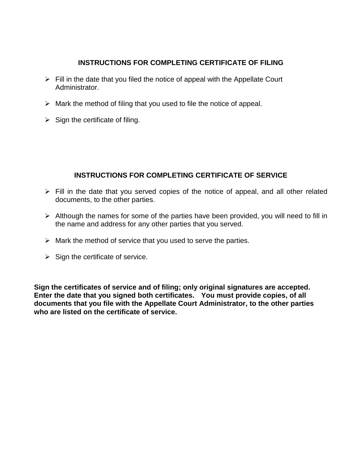# **INSTRUCTIONS FOR COMPLETING CERTIFICATE OF FILING**

- $\triangleright$  Fill in the date that you filed the notice of appeal with the Appellate Court Administrator.
- $\triangleright$  Mark the method of filing that you used to file the notice of appeal.
- $\triangleright$  Sign the certificate of filing.

# **INSTRUCTIONS FOR COMPLETING CERTIFICATE OF SERVICE**

- ➢ Fill in the date that you served copies of the notice of appeal, and all other related documents, to the other parties.
- $\triangleright$  Although the names for some of the parties have been provided, you will need to fill in the name and address for any other parties that you served.
- $\triangleright$  Mark the method of service that you used to serve the parties.
- $\triangleright$  Sign the certificate of service.

**Sign the certificates of service and of filing; only original signatures are accepted. Enter the date that you signed both certificates. You must provide copies, of all documents that you file with the Appellate Court Administrator, to the other parties who are listed on the certificate of service.**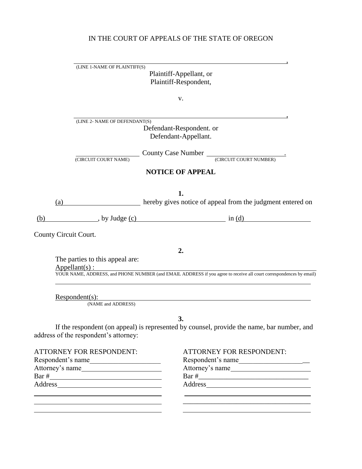# IN THE COURT OF APPEALS OF THE STATE OF OREGON

,

|                       | (LINE 1-NAME OF PLAINTIFF(S)<br>Plaintiff-Appellant, or<br>Plaintiff-Respondent, |                                                                                                                           |  |
|-----------------------|----------------------------------------------------------------------------------|---------------------------------------------------------------------------------------------------------------------------|--|
|                       |                                                                                  | v.                                                                                                                        |  |
|                       | (LINE 2- NAME OF DEFENDANT(S)<br>(CIRCUIT COURT NAME)                            | Defendant-Respondent. or<br>Defendant-Appellant.<br>County Case Number CCIRCUIT COURT NUMBER)<br><b>NOTICE OF APPEAL</b>  |  |
| (a)                   |                                                                                  | 1.<br><b>Example 2016</b> hereby gives notice of appeal from the judgment entered on                                      |  |
| (b)                   |                                                                                  | , by Judge <u>(c)</u> in <u>(d)</u> in (d)                                                                                |  |
| County Circuit Court. |                                                                                  |                                                                                                                           |  |
|                       | The parties to this appeal are:<br>$Appendant(s)$ :                              | 2.<br>YOUR NAME, ADDRESS, and PHONE NUMBER (and EMAIL ADDRESS if you agree to receive all court correspondences by email) |  |
|                       | $Respondent(s)$ :<br>(NAME and ADDRESS)                                          |                                                                                                                           |  |
|                       | address of the respondent's attorney:                                            | 3.<br>If the respondent (on appeal) is represented by counsel, provide the name, bar number, and                          |  |
|                       | <b>ATTORNEY FOR RESPONDENT:</b><br>Respondent's name<br>Attorney's name          | <b>ATTORNEY FOR RESPONDENT:</b><br>Respondent's name<br>Attorney's name                                                   |  |

 $\mathcal{L}_\text{max}$  , where  $\mathcal{L}_\text{max}$  and  $\mathcal{L}_\text{max}$  and  $\mathcal{L}_\text{max}$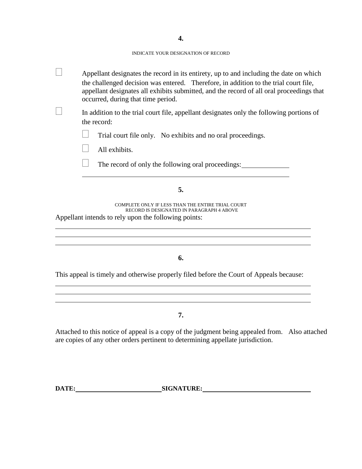**4.**

#### INDICATE YOUR DESIGNATION OF RECORD

| Appellant designates the record in its entirety, up to and including the date on which<br>the challenged decision was entered. Therefore, in addition to the trial court file,<br>appellant designates all exhibits submitted, and the record of all oral proceedings that<br>occurred, during that time period. |
|------------------------------------------------------------------------------------------------------------------------------------------------------------------------------------------------------------------------------------------------------------------------------------------------------------------|
| In addition to the trial court file, appellant designates only the following portions of<br>the record:                                                                                                                                                                                                          |
| Trial court file only. No exhibits and no oral proceedings.                                                                                                                                                                                                                                                      |
| All exhibits.                                                                                                                                                                                                                                                                                                    |
| The record of only the following oral proceedings:                                                                                                                                                                                                                                                               |
| 5.                                                                                                                                                                                                                                                                                                               |
| COMPLETE ONLY IF LESS THAN THE ENTIRE TRIAL COURT<br>RECORD IS DESIGNATED IN PARAGRAPH 4 ABOVE<br>Appellant intends to rely upon the following points:                                                                                                                                                           |
| 6.                                                                                                                                                                                                                                                                                                               |
| This appeal is timely and otherwise properly filed before the Court of Appeals because:                                                                                                                                                                                                                          |
| 7.                                                                                                                                                                                                                                                                                                               |
| Attached to this notice of appeal is a copy of the judgment being appealed from. Also attached<br>are copies of any other orders pertinent to determining appellate jurisdiction.                                                                                                                                |

**DATE:** SIGNATURE: SIGNATURE: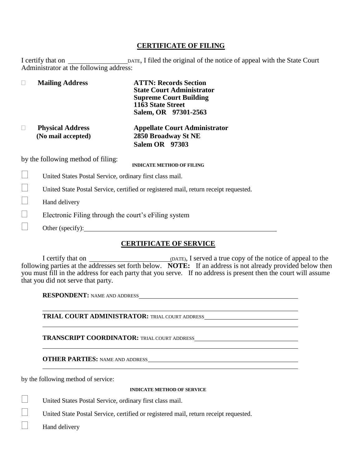#### **CERTIFICATE OF FILING**

I certify that on DATE, I filed the original of the notice of appeal with the State Court Administrator at the following address:

|  | <b>Mailing Address</b>  | <b>ATTN: Records Section</b><br><b>State Court Administrator</b><br><b>Supreme Court Building</b> |
|--|-------------------------|---------------------------------------------------------------------------------------------------|
|  |                         | 1163 State Street<br>Salem, OR 97301-2563                                                         |
|  | <b>Physical Address</b> | <b>Appellate Court Administrator</b>                                                              |

 **(No mail accepted) 2850 Broadway St NE Salem OR 97303**

by the following method of filing:

**INDICATE METHOD OF FILING**

- United States Postal Service, ordinary first class mail.
- United State Postal Service, certified or registered mail, return receipt requested.
- Hand delivery
- $\Box$  Electronic Filing through the court's eFiling system
- Other (specify):

### **CERTIFICATE OF SERVICE**

I certify that on  $\Box$  (DATE), I served a true copy of the notice of appeal to the following parties at the addresses set forth below. **NOTE:** If an address is not already provided below then you must fill in the address for each party that you serve. If no address is present then the court will assume that you did not serve that party.

**RESPONDENT:** NAME AND ADDRESS

**TRIAL COURT ADMINISTRATOR:** TRIAL COURT ADDRESS

**TRANSCRIPT COORDINATOR:** TRIAL COURT ADDRESS

**OTHER PARTIES:** NAME AND ADDRESS

by the following method of service:

#### **INDICATE METHOD OF SERVICE**

United States Postal Service, ordinary first class mail.

United State Postal Service, certified or registered mail, return receipt requested.

Hand delivery